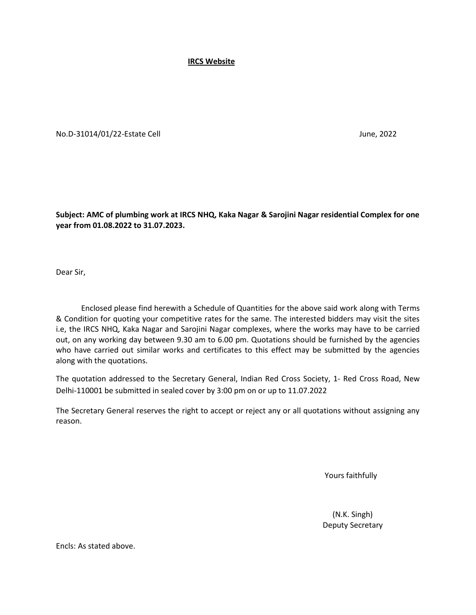**IRCS Website**

No.D-31014/01/22-Estate Cell June, 2022

**Subject: AMC of plumbing work at IRCS NHQ, Kaka Nagar & Sarojini Nagar residential Complex for one year from 01.08.2022 to 31.07.2023.**

Dear Sir,

 Enclosed please find herewith a Schedule of Quantities for the above said work along with Terms & Condition for quoting your competitive rates for the same. The interested bidders may visit the sites i.e, the IRCS NHQ, Kaka Nagar and Sarojini Nagar complexes, where the works may have to be carried out, on any working day between 9.30 am to 6.00 pm. Quotations should be furnished by the agencies who have carried out similar works and certificates to this effect may be submitted by the agencies along with the quotations.

The quotation addressed to the Secretary General, Indian Red Cross Society, 1- Red Cross Road, New Delhi-110001 be submitted in sealed cover by 3:00 pm on or up to 11.07.2022

The Secretary General reserves the right to accept or reject any or all quotations without assigning any reason.

Yours faithfully

 (N.K. Singh) Deputy Secretary

Encls: As stated above.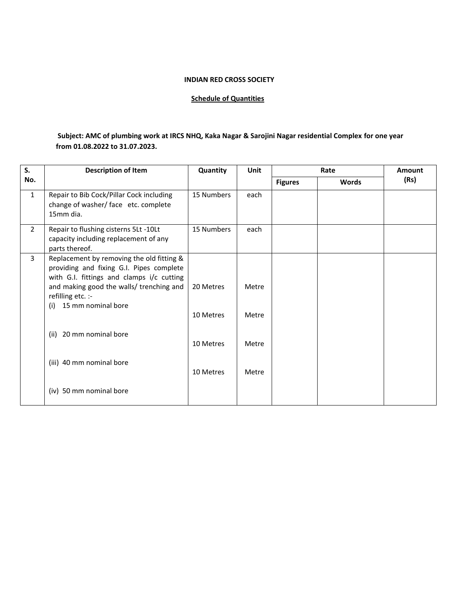## **INDIAN RED CROSS SOCIETY**

## **Schedule of Quantities**

## **Subject: AMC of plumbing work at IRCS NHQ, Kaka Nagar & Sarojini Nagar residential Complex for one year from 01.08.2022 to 31.07.2023.**

| S.             | <b>Description of Item</b>                                                                                                                                                                                                                                                              | Quantity<br>Unit                                 |                                  | Rate           |              | Amount |
|----------------|-----------------------------------------------------------------------------------------------------------------------------------------------------------------------------------------------------------------------------------------------------------------------------------------|--------------------------------------------------|----------------------------------|----------------|--------------|--------|
| No.            |                                                                                                                                                                                                                                                                                         |                                                  |                                  | <b>Figures</b> | <b>Words</b> | (Rs)   |
| $\mathbf{1}$   | Repair to Bib Cock/Pillar Cock including<br>change of washer/ face etc. complete<br>15mm dia.                                                                                                                                                                                           | 15 Numbers                                       | each                             |                |              |        |
| $\overline{2}$ | Repair to flushing cisterns 5Lt -10Lt<br>capacity including replacement of any<br>parts thereof.                                                                                                                                                                                        | 15 Numbers                                       | each                             |                |              |        |
| $\overline{3}$ | Replacement by removing the old fitting &<br>providing and fixing G.I. Pipes complete<br>with G.I. fittings and clamps i/c cutting<br>and making good the walls/ trenching and<br>refilling etc. :-<br>15 mm nominal bore<br>(i)<br>(ii) 20 mm nominal bore<br>(iii) 40 mm nominal bore | 20 Metres<br>10 Metres<br>10 Metres<br>10 Metres | Metre<br>Metre<br>Metre<br>Metre |                |              |        |
|                | (iv) 50 mm nominal bore                                                                                                                                                                                                                                                                 |                                                  |                                  |                |              |        |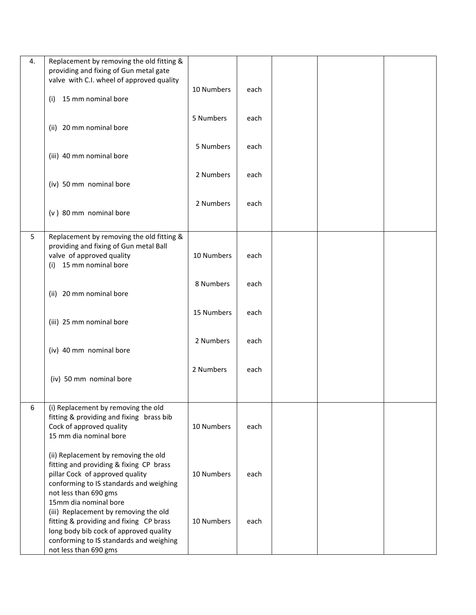| 4. | Replacement by removing the old fitting &                                           |            |      |  |  |
|----|-------------------------------------------------------------------------------------|------------|------|--|--|
|    | providing and fixing of Gun metal gate<br>valve with C.I. wheel of approved quality |            |      |  |  |
|    |                                                                                     | 10 Numbers | each |  |  |
|    | 15 mm nominal bore<br>(i)                                                           |            |      |  |  |
|    |                                                                                     | 5 Numbers  | each |  |  |
|    | (ii) 20 mm nominal bore                                                             |            |      |  |  |
|    |                                                                                     | 5 Numbers  | each |  |  |
|    | (iii) 40 mm nominal bore                                                            |            |      |  |  |
|    |                                                                                     | 2 Numbers  | each |  |  |
|    | (iv) 50 mm nominal bore                                                             |            |      |  |  |
|    | (v) 80 mm nominal bore                                                              | 2 Numbers  | each |  |  |
|    |                                                                                     |            |      |  |  |
| 5  | Replacement by removing the old fitting &                                           |            |      |  |  |
|    | providing and fixing of Gun metal Ball<br>valve of approved quality                 | 10 Numbers | each |  |  |
|    | (i) 15 mm nominal bore                                                              |            |      |  |  |
|    |                                                                                     | 8 Numbers  | each |  |  |
|    | (ii) 20 mm nominal bore                                                             |            |      |  |  |
|    |                                                                                     | 15 Numbers | each |  |  |
|    | (iii) 25 mm nominal bore                                                            |            |      |  |  |
|    |                                                                                     | 2 Numbers  | each |  |  |
|    | (iv) 40 mm nominal bore                                                             |            |      |  |  |
|    |                                                                                     | 2 Numbers  | each |  |  |
|    | (iv) 50 mm nominal bore                                                             |            |      |  |  |
|    |                                                                                     |            |      |  |  |
| 6  | (i) Replacement by removing the old                                                 |            |      |  |  |
|    | fitting & providing and fixing brass bib<br>Cock of approved quality                | 10 Numbers | each |  |  |
|    | 15 mm dia nominal bore                                                              |            |      |  |  |
|    | (ii) Replacement by removing the old                                                |            |      |  |  |
|    | fitting and providing & fixing CP brass<br>pillar Cock of approved quality          |            |      |  |  |
|    | conforming to IS standards and weighing                                             | 10 Numbers | each |  |  |
|    | not less than 690 gms<br>15mm dia nominal bore                                      |            |      |  |  |
|    | (iii) Replacement by removing the old                                               |            |      |  |  |
|    | fitting & providing and fixing CP brass<br>long body bib cock of approved quality   | 10 Numbers | each |  |  |
|    | conforming to IS standards and weighing                                             |            |      |  |  |
|    | not less than 690 gms                                                               |            |      |  |  |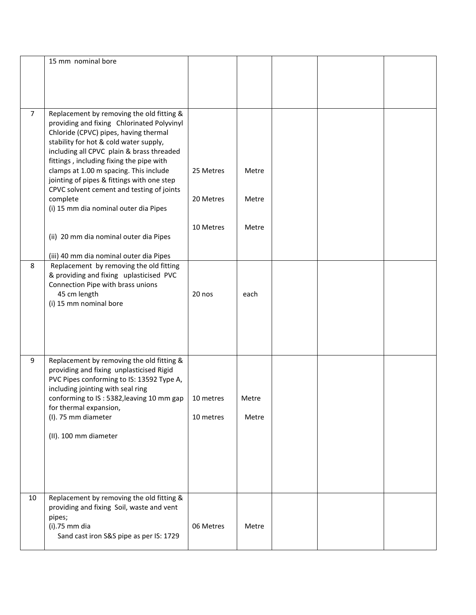|                | 15 mm nominal bore                                                                                                                                                                                                                                                                                                                                                                                                                                            |                                     |                         |  |  |
|----------------|---------------------------------------------------------------------------------------------------------------------------------------------------------------------------------------------------------------------------------------------------------------------------------------------------------------------------------------------------------------------------------------------------------------------------------------------------------------|-------------------------------------|-------------------------|--|--|
| $\overline{7}$ | Replacement by removing the old fitting &<br>providing and fixing Chlorinated Polyvinyl<br>Chloride (CPVC) pipes, having thermal<br>stability for hot & cold water supply,<br>including all CPVC plain & brass threaded<br>fittings, including fixing the pipe with<br>clamps at 1.00 m spacing. This include<br>jointing of pipes & fittings with one step<br>CPVC solvent cement and testing of joints<br>complete<br>(i) 15 mm dia nominal outer dia Pipes | 25 Metres<br>20 Metres<br>10 Metres | Metre<br>Metre<br>Metre |  |  |
|                | (ii) 20 mm dia nominal outer dia Pipes<br>(iii) 40 mm dia nominal outer dia Pipes                                                                                                                                                                                                                                                                                                                                                                             |                                     |                         |  |  |
| 8              | Replacement by removing the old fitting<br>& providing and fixing uplasticised PVC<br>Connection Pipe with brass unions<br>45 cm length<br>(i) 15 mm nominal bore                                                                                                                                                                                                                                                                                             | 20 nos                              | each                    |  |  |
| 9              | Replacement by removing the old fitting &<br>providing and fixing unplasticised Rigid<br>PVC Pipes conforming to IS: 13592 Type A,<br>including jointing with seal ring<br>conforming to IS: 5382, leaving 10 mm gap<br>for thermal expansion,<br>(I). 75 mm diameter<br>(II). 100 mm diameter                                                                                                                                                                | 10 metres<br>10 metres              | Metre<br>Metre          |  |  |
| 10             | Replacement by removing the old fitting &<br>providing and fixing Soil, waste and vent<br>pipes;<br>$(i).75$ mm dia<br>Sand cast iron S&S pipe as per IS: 1729                                                                                                                                                                                                                                                                                                | 06 Metres                           | Metre                   |  |  |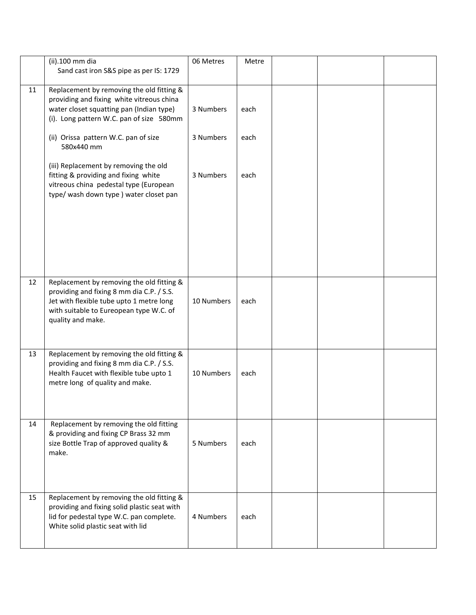|    | (ii).100 mm dia<br>Sand cast iron S&S pipe as per IS: 1729                                                                                                                                         | 06 Metres  | Metre |  |  |
|----|----------------------------------------------------------------------------------------------------------------------------------------------------------------------------------------------------|------------|-------|--|--|
| 11 | Replacement by removing the old fitting &<br>providing and fixing white vitreous china<br>water closet squatting pan (Indian type)<br>(i). Long pattern W.C. pan of size 580mm                     | 3 Numbers  | each  |  |  |
|    | (ii) Orissa pattern W.C. pan of size<br>580x440 mm                                                                                                                                                 | 3 Numbers  | each  |  |  |
|    | (iii) Replacement by removing the old<br>fitting & providing and fixing white<br>vitreous china pedestal type (European<br>type/ wash down type ) water closet pan                                 | 3 Numbers  | each  |  |  |
|    |                                                                                                                                                                                                    |            |       |  |  |
| 12 | Replacement by removing the old fitting &<br>providing and fixing 8 mm dia C.P. / S.S.<br>Jet with flexible tube upto 1 metre long<br>with suitable to Eureopean type W.C. of<br>quality and make. | 10 Numbers | each  |  |  |
| 13 | Replacement by removing the old fitting &<br>providing and fixing 8 mm dia C.P. / S.S.<br>Health Faucet with flexible tube upto 1<br>metre long of quality and make.                               | 10 Numbers | each  |  |  |
| 14 | Replacement by removing the old fitting<br>& providing and fixing CP Brass 32 mm<br>size Bottle Trap of approved quality &<br>make.                                                                | 5 Numbers  | each  |  |  |
| 15 | Replacement by removing the old fitting &<br>providing and fixing solid plastic seat with<br>lid for pedestal type W.C. pan complete.<br>White solid plastic seat with lid                         | 4 Numbers  | each  |  |  |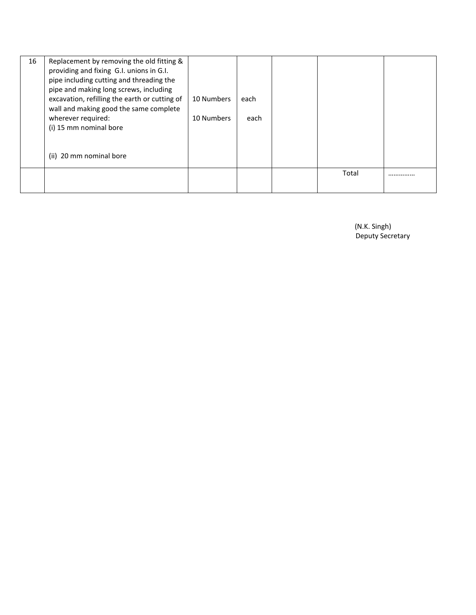| 16 | Replacement by removing the old fitting &<br>providing and fixing G.I. unions in G.I.<br>pipe including cutting and threading the |            |      |       |  |
|----|-----------------------------------------------------------------------------------------------------------------------------------|------------|------|-------|--|
|    | pipe and making long screws, including                                                                                            |            |      |       |  |
|    | excavation, refilling the earth or cutting of<br>wall and making good the same complete                                           | 10 Numbers | each |       |  |
|    | wherever required:                                                                                                                | 10 Numbers | each |       |  |
|    | (i) 15 mm nominal bore                                                                                                            |            |      |       |  |
|    |                                                                                                                                   |            |      |       |  |
|    | (ii) 20 mm nominal bore                                                                                                           |            |      |       |  |
|    |                                                                                                                                   |            |      | Total |  |
|    |                                                                                                                                   |            |      |       |  |

 (N.K. Singh) Deputy Secretary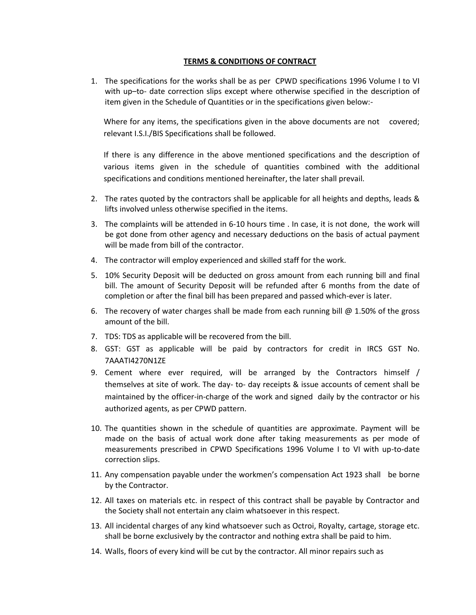## **TERMS & CONDITIONS OF CONTRACT**

1. The specifications for the works shall be as per CPWD specifications 1996 Volume I to VI with up–to- date correction slips except where otherwise specified in the description of item given in the Schedule of Quantities or in the specifications given below:-

Where for any items, the specifications given in the above documents are not covered; relevant I.S.I./BIS Specifications shall be followed.

If there is any difference in the above mentioned specifications and the description of various items given in the schedule of quantities combined with the additional specifications and conditions mentioned hereinafter, the later shall prevail.

- 2. The rates quoted by the contractors shall be applicable for all heights and depths, leads & lifts involved unless otherwise specified in the items.
- 3. The complaints will be attended in 6-10 hours time . In case, it is not done, the work will be got done from other agency and necessary deductions on the basis of actual payment will be made from bill of the contractor.
- 4. The contractor will employ experienced and skilled staff for the work.
- 5. 10% Security Deposit will be deducted on gross amount from each running bill and final bill. The amount of Security Deposit will be refunded after 6 months from the date of completion or after the final bill has been prepared and passed which-ever is later.
- 6. The recovery of water charges shall be made from each running bill  $\omega$  1.50% of the gross amount of the bill.
- 7. TDS: TDS as applicable will be recovered from the bill.
- 8. GST: GST as applicable will be paid by contractors for credit in IRCS GST No. 7AAATI4270N1ZE
- 9. Cement where ever required, will be arranged by the Contractors himself / themselves at site of work. The day- to- day receipts & issue accounts of cement shall be maintained by the officer-in-charge of the work and signed daily by the contractor or his authorized agents, as per CPWD pattern.
- 10. The quantities shown in the schedule of quantities are approximate. Payment will be made on the basis of actual work done after taking measurements as per mode of measurements prescribed in CPWD Specifications 1996 Volume I to VI with up-to-date correction slips.
- 11. Any compensation payable under the workmen's compensation Act 1923 shall be borne by the Contractor.
- 12. All taxes on materials etc. in respect of this contract shall be payable by Contractor and the Society shall not entertain any claim whatsoever in this respect.
- 13. All incidental charges of any kind whatsoever such as Octroi, Royalty, cartage, storage etc. shall be borne exclusively by the contractor and nothing extra shall be paid to him.
- 14. Walls, floors of every kind will be cut by the contractor. All minor repairs such as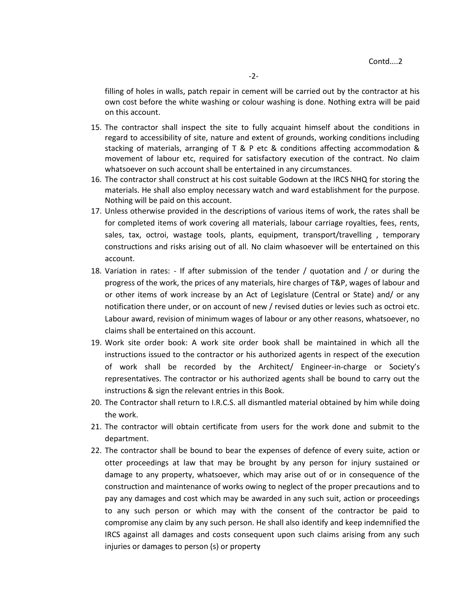filling of holes in walls, patch repair in cement will be carried out by the contractor at his own cost before the white washing or colour washing is done. Nothing extra will be paid on this account.

- 15. The contractor shall inspect the site to fully acquaint himself about the conditions in regard to accessibility of site, nature and extent of grounds, working conditions including stacking of materials, arranging of T & P etc & conditions affecting accommodation & movement of labour etc, required for satisfactory execution of the contract. No claim whatsoever on such account shall be entertained in any circumstances.
- 16. The contractor shall construct at his cost suitable Godown at the IRCS NHQ for storing the materials. He shall also employ necessary watch and ward establishment for the purpose. Nothing will be paid on this account.
- 17. Unless otherwise provided in the descriptions of various items of work, the rates shall be for completed items of work covering all materials, labour carriage royalties, fees, rents, sales, tax, octroi, wastage tools, plants, equipment, transport/travelling , temporary constructions and risks arising out of all. No claim whasoever will be entertained on this account.
- 18. Variation in rates: If after submission of the tender / quotation and / or during the progress of the work, the prices of any materials, hire charges of T&P, wages of labour and or other items of work increase by an Act of Legislature (Central or State) and/ or any notification there under, or on account of new / revised duties or levies such as octroi etc. Labour award, revision of minimum wages of labour or any other reasons, whatsoever, no claims shall be entertained on this account.
- 19. Work site order book: A work site order book shall be maintained in which all the instructions issued to the contractor or his authorized agents in respect of the execution of work shall be recorded by the Architect/ Engineer-in-charge or Society's representatives. The contractor or his authorized agents shall be bound to carry out the instructions & sign the relevant entries in this Book.
- 20. The Contractor shall return to I.R.C.S. all dismantled material obtained by him while doing the work.
- 21. The contractor will obtain certificate from users for the work done and submit to the department.
- 22. The contractor shall be bound to bear the expenses of defence of every suite, action or otter proceedings at law that may be brought by any person for injury sustained or damage to any property, whatsoever, which may arise out of or in consequence of the construction and maintenance of works owing to neglect of the proper precautions and to pay any damages and cost which may be awarded in any such suit, action or proceedings to any such person or which may with the consent of the contractor be paid to compromise any claim by any such person. He shall also identify and keep indemnified the IRCS against all damages and costs consequent upon such claims arising from any such injuries or damages to person (s) or property